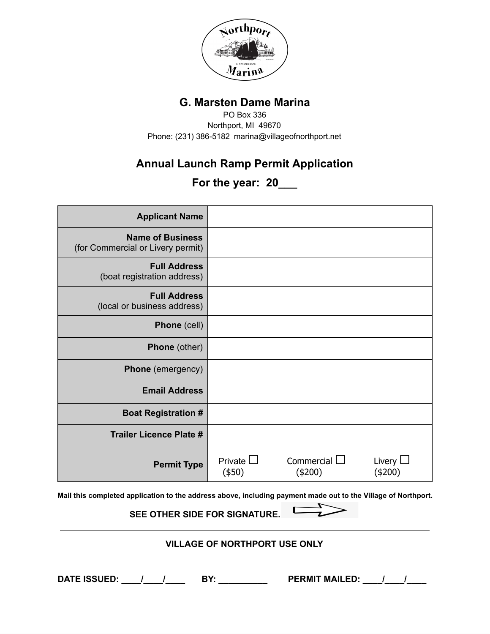

## **G. Marsten Dame Marina**

PO Box 336 Northport, MI 49670 Phone: (231) 386-5182 marina@villageofnorthport.net

## **Annual Launch Ramp Permit Application**

**For the year: 20\_\_\_**

| <b>Applicant Name</b>                                                                                         |                                |                                 |                          |
|---------------------------------------------------------------------------------------------------------------|--------------------------------|---------------------------------|--------------------------|
| <b>Name of Business</b><br>(for Commercial or Livery permit)                                                  |                                |                                 |                          |
| <b>Full Address</b><br>(boat registration address)                                                            |                                |                                 |                          |
| <b>Full Address</b><br>(local or business address)                                                            |                                |                                 |                          |
| Phone (cell)                                                                                                  |                                |                                 |                          |
| <b>Phone</b> (other)                                                                                          |                                |                                 |                          |
| <b>Phone</b> (emergency)                                                                                      |                                |                                 |                          |
| <b>Email Address</b>                                                                                          |                                |                                 |                          |
| <b>Boat Registration #</b>                                                                                    |                                |                                 |                          |
| <b>Trailer Licence Plate #</b>                                                                                |                                |                                 |                          |
| <b>Permit Type</b>                                                                                            | Private $\square$<br>$($ \$50) | Commercial $\square$<br>(\$200) | Livery $\Box$<br>(\$200) |
| Mail this completed application to the address above, including payment made out to the Village of Northport. |                                |                                 |                          |

**SEE OTHER SIDE FOR SIGNATURE.**  $\Box$ 

## **VILLAGE OF NORTHPORT USE ONLY**

**DATE ISSUED: \_\_\_\_/\_\_\_\_/\_\_\_\_ BY: \_\_\_\_\_\_\_\_\_\_ PERMIT MAILED: \_\_\_\_/\_\_\_\_/\_\_\_\_**